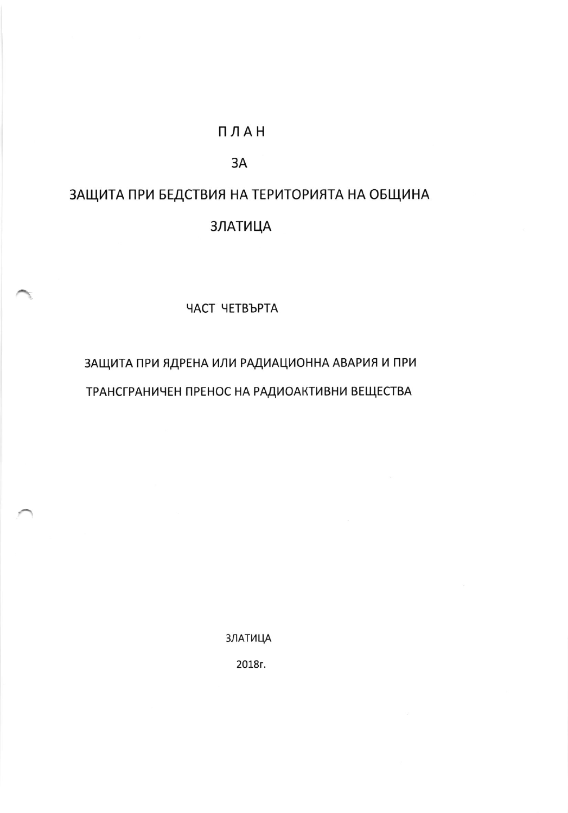## ПЛАН

## 3A

## ЗАЩИТА ПРИ БЕДСТВИЯ НА ТЕРИТОРИЯТА НА ОБЩИНА **ЗЛАТИЦА**

ЧАСТ ЧЕТВЪРТА

ЗАЩИТА ПРИ ЯДРЕНА ИЛИ РАДИАЦИОННА АВАРИЯ И ПРИ ТРАНСГРАНИЧЕН ПРЕНОС НА РАДИОАКТИВНИ ВЕЩЕСТВА

**ЗЛАТИЦА** 

2018г.